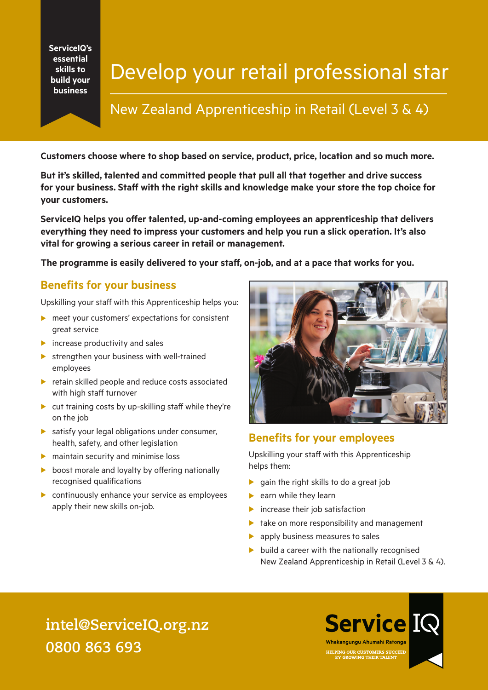**ServiceIQ's essential skills to build your business**

# Develop your retail professional star

### New Zealand Apprenticeship in Retail (Level 3 & 4)

**Customers choose where to shop based on service, product, price, location and so much more.** 

**But it's skilled, talented and committed people that pull all that together and drive success for your business. Staff with the right skills and knowledge make your store the top choice for your customers.** 

**ServiceIQ helps you offer talented, up-and-coming employees an apprenticeship that delivers everything they need to impress your customers and help you run a slick operation. It's also vital for growing a serious career in retail or management.** 

**The programme is easily delivered to your staff, on-job, and at a pace that works for you.**

#### **Benefits for your business**

Upskilling your staff with this Apprenticeship helps you:

- $\blacktriangleright$  meet your customers' expectations for consistent great service
- $\blacktriangleright$  increase productivity and sales
- $\blacktriangleright$  strengthen your business with well-trained employees
- $\blacktriangleright$  retain skilled people and reduce costs associated with high staff turnover
- $\blacktriangleright$  cut training costs by up-skilling staff while they're on the job
- $\blacktriangleright$  satisfy your legal obligations under consumer, health, safety, and other legislation
- $\blacktriangleright$  maintain security and minimise loss
- $\triangleright$  boost morale and loyalty by offering nationally recognised qualifications
- $\triangleright$  continuously enhance your service as employees apply their new skills on-job.



#### **Benefits for your employees**

Upskilling your staff with this Apprenticeship helps them:

- $\triangleright$  gain the right skills to do a great job
- $\blacktriangleright$  earn while they learn
- $\blacktriangleright$  increase their job satisfaction
- $\blacktriangleright$  take on more responsibility and management
- $\blacktriangleright$  apply business measures to sales
- $\blacktriangleright$  build a career with the nationally recognised New Zealand Apprenticeship in Retail (Level 3 & 4).

### **intel@ServiceIQ.org.nz 0800 863 693**